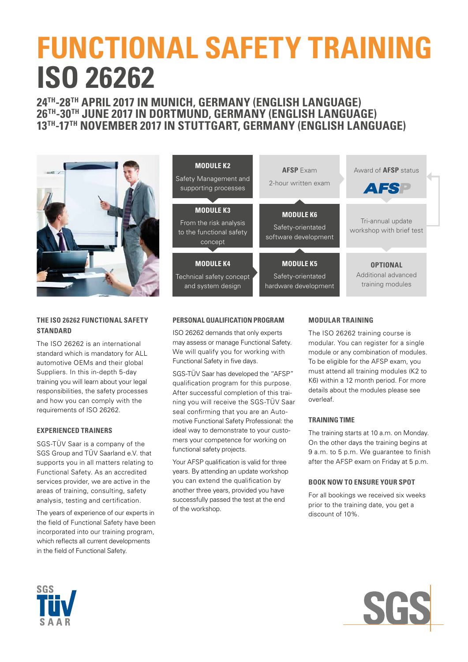# **FUNCTIONAL SAFETY TRAINING ISO 26262**

## **24TH-28TH APRIL 2017 IN MUNICH, GERMANY (ENGLISH LANGUAGE) 26TH-30TH JUNE 2017 IN DORTMUND, GERMANY (ENGLISH LANGUAGE) 13TH-17TH NOVEMBER 2017 IN STUTTGART, GERMANY (ENGLISH LANGUAGE)**



## **THE ISO 26262 FUNCTIONAL SAFETY STANDARD**

The ISO 26262 is an international standard which is mandatory for ALL automotive OEMs and their global Suppliers. In this in-depth 5-day training you will learn about your legal responsibilities, the safety processes and how you can comply with the requirements of ISO 26262.

### **EXPERIENCED TRAINERS**

SGS-TÜV Saar is a company of the SGS Group and TÜV Saarland e.V. that supports you in all matters relating to Functional Safety. As an accredited services provider, we are active in the areas of training, consulting, safety analysis, testing and certification.

The years of experience of our experts in the field of Functional Safety have been incorporated into our training program, which reflects all current developments in the field of Functional Safety.



## **PERSONAL QUALIFICATION PROGRAM**

ISO 26262 demands that only experts may assess or manage Functional Safety. We will qualify you for working with Functional Safety in five days.

SGS-TÜV Saar has developed the "AFSP" qualification program for this purpose. After successful completion of this training you will receive the SGS-TÜV Saar seal confirming that you are an Automotive Functional Safety Professional: the ideal way to demonstrate to your customers your competence for working on functional safety projects.

Your AFSP qualification is valid for three years. By attending an update workshop you can extend the qualification by another three years, provided you have successfully passed the test at the end of the workshop.

### **MODULAR TRAINING**

The ISO 26262 training course is modular. You can register for a single module or any combination of modules. To be eligible for the AFSP exam, you must attend all training modules (K2 to K6) within a 12 month period. For more details about the modules please see overleaf.

### **TRAINING TIME**

The training starts at 10 a.m. on Monday. On the other days the training begins at 9 a.m. to 5 p.m. We guarantee to finish after the AFSP exam on Friday at 5 p.m.

### **BOOK NOW TO ENSURE YOUR SPOT**

For all bookings we received six weeks prior to the training date, you get a discount of 10%.



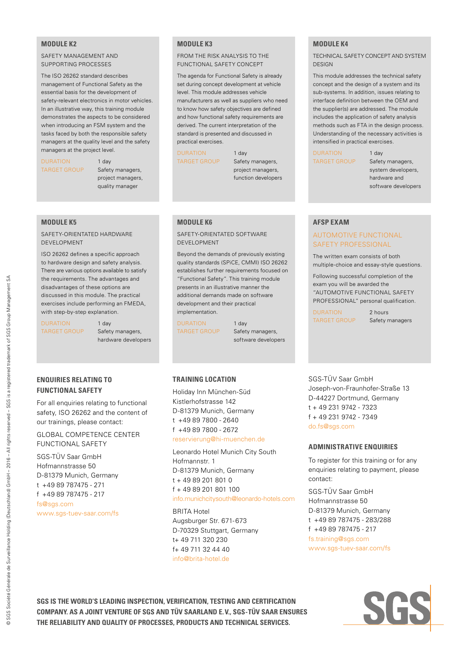#### **MODULE K2**

SAFETY MANAGEMENT AND SUPPORTING PROCESSES

The ISO 26262 standard describes management of Functional Safety as the essential basis for the development of safety-relevant electronics in motor vehicles. In an illustrative way, this training module demonstrates the aspects to be considered when introducing an FSM system and the tasks faced by both the responsible safety managers at the quality level and the safety managers at the project level.

DURATION 1 day

TARGET GROUP Safety managers, project managers, quality manager

### **MODULE K5**

SAFETY-ORIENTATED HARDWARE DEVELOPMENT

ISO 26262 defines a specific approach to hardware design and safety analysis. There are various options available to satisfy the requirements. The advantages and disadvantages of these options are discussed in this module. The practical exercises include performing an FMEDA, with step-by-step explanation.

DURATION 1 day TARGET GROUP Safety managers,

hardware developers

## **ENQUIRIES RELATING TO FUNCTIONAL SAFETY**

For all enquiries relating to functional safety, ISO 26262 and the content of our trainings, please contact:

GLOBAL COMPETENCE CENTER FUNCTIONAL SAFETY

SGS-TÜV Saar GmbH Hofmannstrasse 50 D-81379 Munich, Germany t +49 89 787475 - 271 f +49 89 787475 - 217 fs@sas.com www.sgs-tuev-saar.com/fs

#### **MODULE K3**

FROM THE RISK ANALYSIS TO THE FUNCTIONAL SAFETY CONCEPT

The agenda for Functional Safety is already set during concept development at vehicle level. This module addresses vehicle manufacturers as well as suppliers who need to know how safety objectives are defined and how functional safety requirements are derived. The current interpretation of the standard is presented and discussed in practical exercises.

DURATION 1 day

TARGET GROUP Safety managers, project managers, function developers

#### **MODULE K6**

SAFETY-ORIENTATED SOFTWARE DEVELOPMENT

Beyond the demands of previously existing quality standards (SPiCE, CMMI) ISO 26262 establishes further requirements focused on "Functional Safety". This training module presents in an illustrative manner the additional demands made on software development and their practical implementation.

DURATION 1 day

TARGET GROUP Safety managers, software developers

#### **TRAINING LOCATION**

Holiday Inn München-Süd Kistlerhofstrasse 142 D-81379 Munich, Germany t +49 89 7800 - 2640 f +49 89 7800 - 2672 reservierung@hi-muenchen.de

Leonardo Hotel Munich City South Hofmannstr. 1 D-81379 Munich, Germany  $t + 49892018010$  $f + 4989201801100$ info.munichcitysouth@leonardo-hotels.com

BRITA Hotel Augsburger Str. 671- 673 D-70329 Stuttgart, Germany t+ 49 711 320 230 f+ 49 711 32 44 40 info@brita-hotel.de

#### **MODULE K4**

TECHNICAL SAFETY CONCEPT AND SYSTEM DESIGN

This module addresses the technical safety concept and the design of a system and its sub-systems. In addition, issues relating to interface definition between the OEM and the supplier(s) are addressed. The module includes the application of safety analysis methods such as FTA in the design process. Understanding of the necessary activities is intensified in practical exercises.

DURATION 1 day

TARGET GROUP Safety managers, system developers, hardware and software developers

#### **AFSP EXAM**

#### AUTOMOTIVE FUNCTIONAL SAFETY PROFESSIONAL

The written exam consists of both multiple-choice and essay-style questions.

Following successful completion of the exam you will be awarded the "AUTOMOTIVE FUNCTIONAL SAFETY PROFESSIONAL" personal qualification.

DURATION 2 hours

TARGET GROUP Safety managers

SGS-TÜV Saar GmbH Joseph-von-Fraunhofer-Straße 13 D-44227 Dortmund, Germany t + 49 231 9742 - 7323 f + 49 231 9742 - 7349 do.fs@sas.com

#### **ADMINISTRATIVE ENQUIRIES**

To register for this training or for any enquiries relating to payment, please contact:

SGS-TÜV Saar GmbH Hofmannstrasse 50 D-81379 Munich, Germany t +49 89 787475 - 283/288 f +49 89 787475 - 217 fs.training@sgs.com www.sgs-tuev-saar.com/fs

**SGS IS THE WORLD'S LEADING INSPECTION, VERIFICATION, TESTING AND CERTIFICATION COMPANY. AS A JOINT VENTURE OF SGS AND TÜV SAARLAND E.V., SGS-TÜV SAAR ENSURES THE RELIABILITY AND QUALITY OF PROCESSES, PRODUCTS AND TECHNICAL SERVICES.**